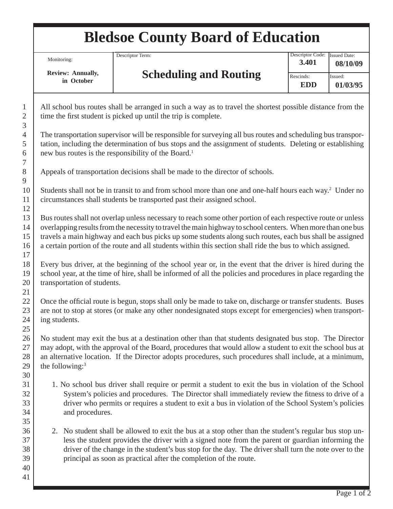## **Bledsoe County Board of Education**

Monitoring:

 **Review: Annually, in October**

**Scheduling and Routing**

All school bus routes shall be arranged in such a way as to travel the shortest possible distance from the time the first student is picked up until the trip is complete.

The transportation supervisor will be responsible for surveying all bus routes and scheduling bus transportation, including the determination of bus stops and the assignment of students. Deleting or establishing new bus routes is the responsibility of the Board.<sup>1</sup>

Appeals of transportation decisions shall be made to the director of schools.

Descriptor Term:

Students shall not be in transit to and from school more than one and one-half hours each way.<sup>2</sup> Under no circumstances shall students be transported past their assigned school.

Bus routes shall not overlap unless necessary to reach some other portion of each respective route or unless overlapping results from the necessity to travel the main highway to school centers. When more than one bus travels a main highway and each bus picks up some students along such routes, each bus shall be assigned a certain portion of the route and all students within this section shall ride the bus to which assigned.

Every bus driver, at the beginning of the school year or, in the event that the driver is hired during the school year, at the time of hire, shall be informed of all the policies and procedures in place regarding the transportation of students.

Once the official route is begun, stops shall only be made to take on, discharge or transfer students. Buses are not to stop at stores (or make any other nondesignated stops except for emergencies) when transporting students.

No student may exit the bus at a destination other than that students designated bus stop. The Director may adopt, with the approval of the Board, procedures that would allow a student to exit the school bus at an alternative location. If the Director adopts procedures, such procedures shall include, at a minimum, the following:3

- 1. No school bus driver shall require or permit a student to exit the bus in violation of the School System's policies and procedures. The Director shall immediately review the fitness to drive of a driver who permits or requires a student to exit a bus in violation of the School System's policies and procedures.
- 2. No student shall be allowed to exit the bus at a stop other than the student's regular bus stop unless the student provides the driver with a signed note from the parent or guardian informing the driver of the change in the student's bus stop for the day. The driver shall turn the note over to the principal as soon as practical after the completion of the route.

1